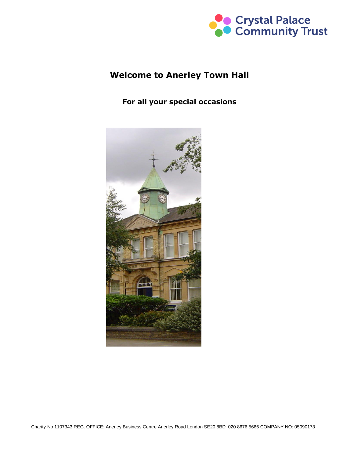

# **Welcome to Anerley Town Hall**

#### **For all your special occasions**

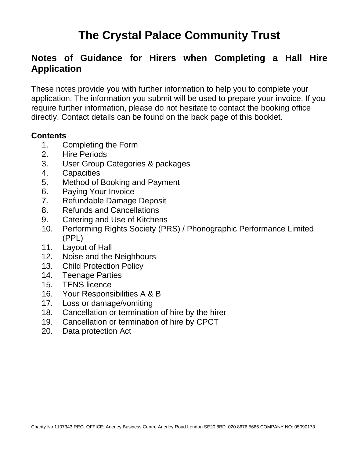# **The Crystal Palace Community Trust**

# **Notes of Guidance for Hirers when Completing a Hall Hire Application**

These notes provide you with further information to help you to complete your application. The information you submit will be used to prepare your invoice. If you require further information, please do not hesitate to contact the booking office directly. Contact details can be found on the back page of this booklet.

#### **Contents**

- 1. Completing the Form
- 2. Hire Periods
- 3. User Group Categories & packages
- 4. Capacities
- 5. Method of Booking and Payment
- 6. Paying Your Invoice
- 7. Refundable Damage Deposit
- 8. Refunds and Cancellations
- 9. Catering and Use of Kitchens
- 10. Performing Rights Society (PRS) / Phonographic Performance Limited (PPL)
- 11. Layout of Hall
- 12. Noise and the Neighbours
- 13. Child Protection Policy
- 14. Teenage Parties
- 15. TENS licence
- 16. Your Responsibilities A & B
- 17. Loss or damage/vomiting
- 18. Cancellation or termination of hire by the hirer
- 19. Cancellation or termination of hire by CPCT
- 20. Data protection Act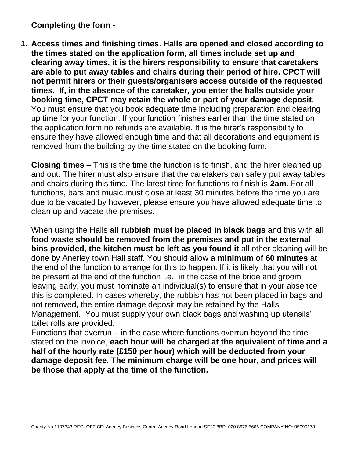**Completing the form -**

**1. Access times and finishing times**. H**alls are opened and closed according to the times stated on the application form, all times include set up and clearing away times, it is the hirers responsibility to ensure that caretakers are able to put away tables and chairs during their period of hire. CPCT will not permit hirers or their guests/organisers access outside of the requested times. If, in the absence of the caretaker, you enter the halls outside your booking time, CPCT may retain the whole or part of your damage deposit**. You must ensure that you book adequate time including preparation and clearing up time for your function. If your function finishes earlier than the time stated on the application form no refunds are available. It is the hirer's responsibility to ensure they have allowed enough time and that all decorations and equipment is removed from the building by the time stated on the booking form.

**Closing times** – This is the time the function is to finish, and the hirer cleaned up and out. The hirer must also ensure that the caretakers can safely put away tables and chairs during this time. The latest time for functions to finish is **2am**. For all functions, bars and music must close at least 30 minutes before the time you are due to be vacated by however, please ensure you have allowed adequate time to clean up and vacate the premises.

When using the Halls **all rubbish must be placed in black bags** and this with **all food waste should be removed from the premises and put in the external bins provided**, **the kitchen must be left as you found it** all other cleaning will be done by Anerley town Hall staff. You should allow a **minimum of 60 minutes** at the end of the function to arrange for this to happen. If it is likely that you will not be present at the end of the function i.e., in the case of the bride and groom leaving early, you must nominate an individual(s) to ensure that in your absence this is completed. In cases whereby, the rubbish has not been placed in bags and not removed, the entire damage deposit may be retained by the Halls Management. You must supply your own black bags and washing up utensils' toilet rolls are provided.

Functions that overrun – in the case where functions overrun beyond the time stated on the invoice, **each hour will be charged at the equivalent of time and a half of the hourly rate (£150 per hour) which will be deducted from your damage deposit fee. The minimum charge will be one hour, and prices will be those that apply at the time of the function.**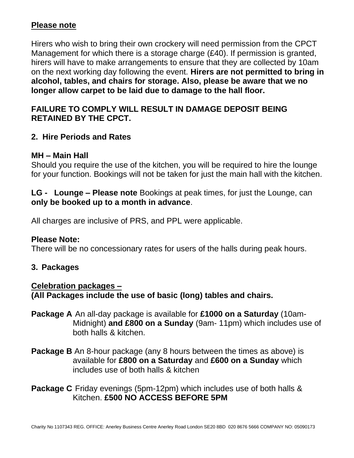#### **Please note**

Hirers who wish to bring their own crockery will need permission from the CPCT Management for which there is a storage charge (£40). If permission is granted, hirers will have to make arrangements to ensure that they are collected by 10am on the next working day following the event. **Hirers are not permitted to bring in alcohol, tables, and chairs for storage. Also, please be aware that we no longer allow carpet to be laid due to damage to the hall floor.** 

# **FAILURE TO COMPLY WILL RESULT IN DAMAGE DEPOSIT BEING RETAINED BY THE CPCT.**

# **2. Hire Periods and Rates**

#### **MH – Main Hall**

Should you require the use of the kitchen, you will be required to hire the lounge for your function. Bookings will not be taken for just the main hall with the kitchen.

**LG - Lounge – Please note** Bookings at peak times, for just the Lounge, can **only be booked up to a month in advance**.

All charges are inclusive of PRS, and PPL were applicable.

#### **Please Note:**

There will be no concessionary rates for users of the halls during peak hours.

#### **3. Packages**

**Celebration packages – (All Packages include the use of basic (long) tables and chairs.**

- **Package A** An all-day package is available for **£1000 on a Saturday** (10am-Midnight) **and £800 on a Sunday** (9am- 11pm) which includes use of both halls & kitchen.
- **Package B** An 8-hour package (any 8 hours between the times as above) is available for **£800 on a Saturday** and **£600 on a Sunday** which includes use of both halls & kitchen

**Package C** Friday evenings (5pm-12pm) which includes use of both halls & Kitchen. **£500 NO ACCESS BEFORE 5PM**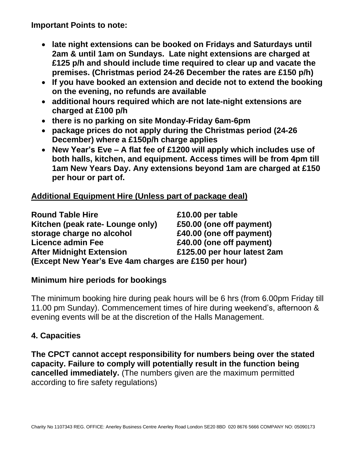**Important Points to note:** 

- **late night extensions can be booked on Fridays and Saturdays until 2am & until 1am on Sundays. Late night extensions are charged at £125 p/h and should include time required to clear up and vacate the premises. (Christmas period 24-26 December the rates are £150 p/h)**
- **If you have booked an extension and decide not to extend the booking on the evening, no refunds are available**
- **additional hours required which are not late-night extensions are charged at £100 p/h**
- **there is no parking on site Monday-Friday 6am-6pm**
- **package prices do not apply during the Christmas period (24-26 December) where a £150p/h charge applies**
- **New Year's Eve – A flat fee of £1200 will apply which includes use of both halls, kitchen, and equipment. Access times will be from 4pm till 1am New Years Day. Any extensions beyond 1am are charged at £150 per hour or part of.**

# **Additional Equipment Hire (Unless part of package deal)**

| <b>Round Table Hire</b>                               | £10.00 per table            |
|-------------------------------------------------------|-----------------------------|
| Kitchen (peak rate- Lounge only)                      | £50.00 (one off payment)    |
| storage charge no alcohol                             | £40.00 (one off payment)    |
| <b>Licence admin Fee</b>                              | £40.00 (one off payment)    |
| <b>After Midnight Extension</b>                       | £125.00 per hour latest 2am |
| (Except New Year's Eve 4am charges are £150 per hour) |                             |

#### **Minimum hire periods for bookings**

The minimum booking hire during peak hours will be 6 hrs (from 6.00pm Friday till 11.00 pm Sunday). Commencement times of hire during weekend's, afternoon & evening events will be at the discretion of the Halls Management.

# **4. Capacities**

**The CPCT cannot accept responsibility for numbers being over the stated capacity. Failure to comply will potentially result in the function being cancelled immediately.** (The numbers given are the maximum permitted according to fire safety regulations)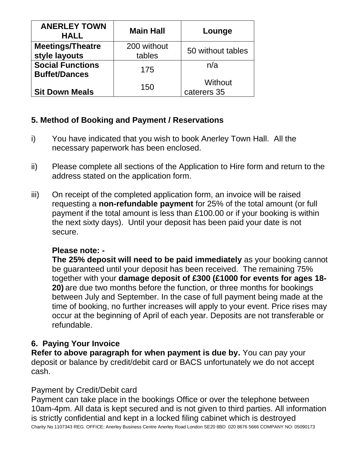| <b>ANERLEY TOWN</b><br><b>HALL</b>              | <b>Main Hall</b>      | Lounge                 |
|-------------------------------------------------|-----------------------|------------------------|
| <b>Meetings/Theatre</b><br>style layouts        | 200 without<br>tables | 50 without tables      |
| <b>Social Functions</b><br><b>Buffet/Dances</b> | 175                   | n/a                    |
| <b>Sit Down Meals</b>                           | 150                   | Without<br>caterers 35 |

# **5. Method of Booking and Payment / Reservations**

- i) You have indicated that you wish to book Anerley Town Hall. All the necessary paperwork has been enclosed.
- ii) Please complete all sections of the Application to Hire form and return to the address stated on the application form.
- iii) On receipt of the completed application form, an invoice will be raised requesting a **non-refundable payment** for 25% of the total amount (or full payment if the total amount is less than £100.00 or if your booking is within the next sixty days). Until your deposit has been paid your date is not secure.

# **Please note: -**

**The 25% deposit will need to be paid immediately** as your booking cannot be guaranteed until your deposit has been received. The remaining 75% together with your **damage deposit of £300 (£1000 for events for ages 18- 20)** are due two months before the function, or three months for bookings between July and September. In the case of full payment being made at the time of booking, no further increases will apply to your event. Price rises may occur at the beginning of April of each year. Deposits are not transferable or refundable.

# **6. Paying Your Invoice**

**Refer to above paragraph for when payment is due by.** You can pay your deposit or balance by credit/debit card or BACS unfortunately we do not accept cash.

# Payment by Credit/Debit card

Charity No 1107343 REG. OFFICE: Anerley Business Centre Anerley Road London SE20 8BD 020 8676 5666 COMPANY NO: 05090173 Payment can take place in the bookings Office or over the telephone between 10am-4pm. All data is kept secured and is not given to third parties. All information is strictly confidential and kept in a locked filing cabinet which is destroyed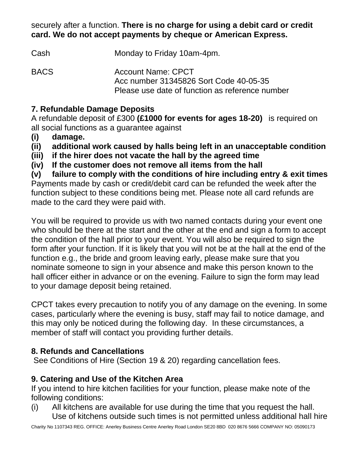securely after a function. **There is no charge for using a debit card or credit card. We do not accept payments by cheque or American Express.** 

Cash Monday to Friday 10am-4pm.

BACS Account Name: CPCT Acc number 31345826 Sort Code 40-05-35 Please use date of function as reference number

# **7. Refundable Damage Deposits**

A refundable deposit of £300 **(£1000 for events for ages 18-20)** is required on all social functions as a guarantee against

- **(i) damage.**
- **(ii) additional work caused by halls being left in an unacceptable condition**
- **(iii) if the hirer does not vacate the hall by the agreed time**
- **(iv) If the customer does not remove all items from the hall**

**(v) failure to comply with the conditions of hire including entry & exit times** Payments made by cash or credit/debit card can be refunded the week after the function subject to these conditions being met. Please note all card refunds are made to the card they were paid with.

You will be required to provide us with two named contacts during your event one who should be there at the start and the other at the end and sign a form to accept the condition of the hall prior to your event. You will also be required to sign the form after your function. If it is likely that you will not be at the hall at the end of the function e.g., the bride and groom leaving early, please make sure that you nominate someone to sign in your absence and make this person known to the hall officer either in advance or on the evening. Failure to sign the form may lead to your damage deposit being retained.

CPCT takes every precaution to notify you of any damage on the evening. In some cases, particularly where the evening is busy, staff may fail to notice damage, and this may only be noticed during the following day. In these circumstances, a member of staff will contact you providing further details.

# **8. Refunds and Cancellations**

See Conditions of Hire (Section 19 & 20) regarding cancellation fees.

# **9. Catering and Use of the Kitchen Area**

If you intend to hire kitchen facilities for your function, please make note of the following conditions:

(i) All kitchens are available for use during the time that you request the hall. Use of kitchens outside such times is not permitted unless additional hall hire

Charity No 1107343 REG. OFFICE: Anerley Business Centre Anerley Road London SE20 8BD 020 8676 5666 COMPANY NO: 05090173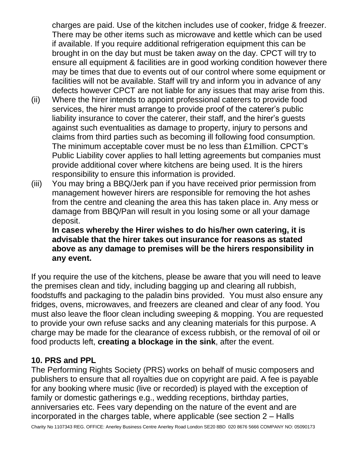charges are paid. Use of the kitchen includes use of cooker, fridge & freezer. There may be other items such as microwave and kettle which can be used if available. If you require additional refrigeration equipment this can be brought in on the day but must be taken away on the day. CPCT will try to ensure all equipment & facilities are in good working condition however there may be times that due to events out of our control where some equipment or facilities will not be available. Staff will try and inform you in advance of any defects however CPCT are not liable for any issues that may arise from this.

- (ii) Where the hirer intends to appoint professional caterers to provide food services, the hirer must arrange to provide proof of the caterer's public liability insurance to cover the caterer, their staff, and the hirer's guests against such eventualities as damage to property, injury to persons and claims from third parties such as becoming ill following food consumption. The minimum acceptable cover must be no less than £1million. CPCT's Public Liability cover applies to hall letting agreements but companies must provide additional cover where kitchens are being used. It is the hirers responsibility to ensure this information is provided.
- (iii) You may bring a BBQ/Jerk pan if you have received prior permission from management however hirers are responsible for removing the hot ashes from the centre and cleaning the area this has taken place in. Any mess or damage from BBQ/Pan will result in you losing some or all your damage deposit.

**In cases whereby the Hirer wishes to do his/her own catering, it is advisable that the hirer takes out insurance for reasons as stated above as any damage to premises will be the hirers responsibility in any event.**

If you require the use of the kitchens, please be aware that you will need to leave the premises clean and tidy, including bagging up and clearing all rubbish, foodstuffs and packaging to the paladin bins provided. You must also ensure any fridges, ovens, microwaves, and freezers are cleaned and clear of any food. You must also leave the floor clean including sweeping & mopping. You are requested to provide your own refuse sacks and any cleaning materials for this purpose. A charge may be made for the clearance of excess rubbish, or the removal of oil or food products left, **creating a blockage in the sink**, after the event.

#### **10. PRS and PPL**

The Performing Rights Society (PRS) works on behalf of music composers and publishers to ensure that all royalties due on copyright are paid. A fee is payable for any booking where music (live or recorded) is played with the exception of family or domestic gatherings e.g., wedding receptions, birthday parties, anniversaries etc. Fees vary depending on the nature of the event and are incorporated in the charges table, where applicable (see section 2 – Halls

Charity No 1107343 REG. OFFICE: Anerley Business Centre Anerley Road London SE20 8BD 020 8676 5666 COMPANY NO: 05090173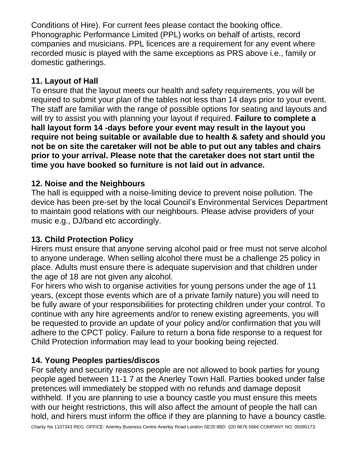Conditions of Hire). For current fees please contact the booking office. Phonographic Performance Limited (PPL) works on behalf of artists, record companies and musicians. PPL licences are a requirement for any event where recorded music is played with the same exceptions as PRS above i.e., family or domestic gatherings.

# **11. Layout of Hall**

To ensure that the layout meets our health and safety requirements, you will be required to submit your plan of the tables not less than 14 days prior to your event. The staff are familiar with the range of possible options for seating and layouts and will try to assist you with planning your layout if required. **Failure to complete a hall layout form 14 -days before your event may result in the layout you require not being suitable or available due to health & safety and should you not be on site the caretaker will not be able to put out any tables and chairs prior to your arrival. Please note that the caretaker does not start until the time you have booked so furniture is not laid out in advance.** 

# **12. Noise and the Neighbours**

The hall is equipped with a noise-limiting device to prevent noise pollution. The device has been pre-set by the local Council's Environmental Services Department to maintain good relations with our neighbours. Please advise providers of your music e.g., DJ/band etc accordingly.

# **13. Child Protection Policy**

Hirers must ensure that anyone serving alcohol paid or free must not serve alcohol to anyone underage. When selling alcohol there must be a challenge 25 policy in place. Adults must ensure there is adequate supervision and that children under the age of 18 are not given any alcohol.

For hirers who wish to organise activities for young persons under the age of 11 years, (except those events which are of a private family nature) you will need to be fully aware of your responsibilities for protecting children under your control. To continue with any hire agreements and/or to renew existing agreements, you will be requested to provide an update of your policy and/or confirmation that you will adhere to the CPCT policy. Failure to return a bona fide response to a request for Child Protection information may lead to your booking being rejected.

# **14. Young Peoples parties/discos**

For safety and security reasons people are not allowed to book parties for young people aged between 11-1 7 at the Anerley Town Hall. Parties booked under false pretences will immediately be stopped with no refunds and damage deposit withheld. If you are planning to use a bouncy castle you must ensure this meets with our height restrictions, this will also affect the amount of people the hall can hold, and hirers must inform the office if they are planning to have a bouncy castle.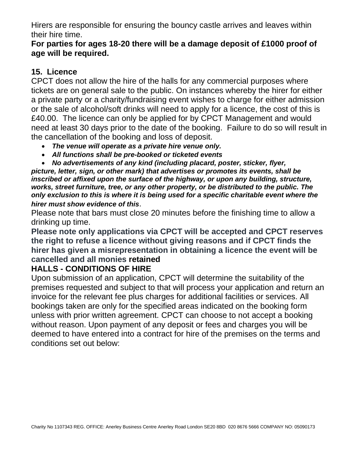Hirers are responsible for ensuring the bouncy castle arrives and leaves within their hire time.

#### **For parties for ages 18-20 there will be a damage deposit of £1000 proof of age will be required.**

# **15. Licence**

CPCT does not allow the hire of the halls for any commercial purposes where tickets are on general sale to the public. On instances whereby the hirer for either a private party or a charity/fundraising event wishes to charge for either admission or the sale of alcohol/soft drinks will need to apply for a licence, the cost of this is £40.00. The licence can only be applied for by CPCT Management and would need at least 30 days prior to the date of the booking. Failure to do so will result in the cancellation of the booking and loss of deposit.

- *The venue will operate as a private hire venue only.*
- *All functions shall be pre-booked or ticketed events*

• *No advertisements of any kind (including placard, poster, sticker, flyer, picture, letter, sign, or other mark) that advertises or promotes its events, shall be inscribed or affixed upon the surface of the highway, or upon any building, structure, works, street furniture, tree, or any other property, or be distributed to the public. The only exclusion to this is where it is being used for a specific charitable event where the hirer must show evidence of this*.

Please note that bars must close 20 minutes before the finishing time to allow a drinking up time.

**Please note only applications via CPCT will be accepted and CPCT reserves the right to refuse a licence without giving reasons and if CPCT finds the hirer has given a misrepresentation in obtaining a licence the event will be cancelled and all monies retained**

# **HALLS - CONDITIONS OF HIRE**

Upon submission of an application, CPCT will determine the suitability of the premises requested and subject to that will process your application and return an invoice for the relevant fee plus charges for additional facilities or services. All bookings taken are only for the specified areas indicated on the booking form unless with prior written agreement. CPCT can choose to not accept a booking without reason. Upon payment of any deposit or fees and charges you will be deemed to have entered into a contract for hire of the premises on the terms and conditions set out below: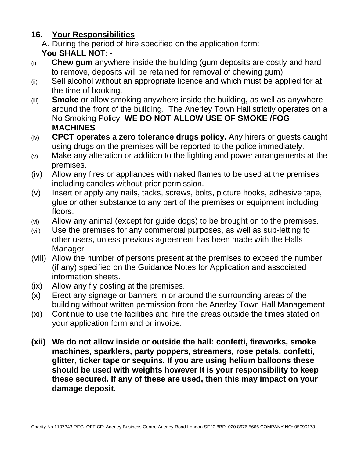# **16. Your Responsibilities**

A. During the period of hire specified on the application form: **You SHALL NOT**: -

- (i) **Chew gum** anywhere inside the building (gum deposits are costly and hard to remove, deposits will be retained for removal of chewing gum)
- (ii) Sell alcohol without an appropriate licence and which must be applied for at the time of booking.
- (iii) **Smoke** or allow smoking anywhere inside the building, as well as anywhere around the front of the building. The Anerley Town Hall strictly operates on a No Smoking Policy. **WE DO NOT ALLOW USE OF SMOKE /FOG MACHINES**
- (iv) **CPCT operates a zero tolerance drugs policy.** Any hirers or guests caught using drugs on the premises will be reported to the police immediately.
- (v) Make any alteration or addition to the lighting and power arrangements at the premises.
- (iv) Allow any fires or appliances with naked flames to be used at the premises including candles without prior permission.
- (v) Insert or apply any nails, tacks, screws, bolts, picture hooks, adhesive tape, glue or other substance to any part of the premises or equipment including floors.
- (vi) Allow any animal (except for guide dogs) to be brought on to the premises.
- (vii) Use the premises for any commercial purposes, as well as sub-letting to other users, unless previous agreement has been made with the Halls **Manager**
- (viii) Allow the number of persons present at the premises to exceed the number (if any) specified on the Guidance Notes for Application and associated information sheets.
- (ix) Allow any fly posting at the premises.
- (x) Erect any signage or banners in or around the surrounding areas of the building without written permission from the Anerley Town Hall Management
- (xi) Continue to use the facilities and hire the areas outside the times stated on your application form and or invoice.
- **(xii) We do not allow inside or outside the hall: confetti, fireworks, smoke machines, sparklers, party poppers, streamers, rose petals, confetti, glitter, ticker tape or sequins. If you are using helium balloons these should be used with weights however It is your responsibility to keep these secured. If any of these are used, then this may impact on your damage deposit.**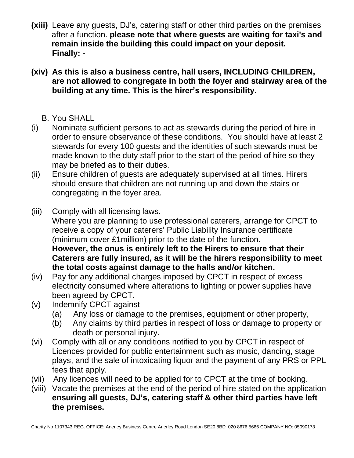- **(xiii)** Leave any guests, DJ's, catering staff or other third parties on the premises after a function. **please note that where guests are waiting for taxi's and remain inside the building this could impact on your deposit. Finally: -**
- **(xiv) As this is also a business centre, hall users, INCLUDING CHILDREN, are not allowed to congregate in both the foyer and stairway area of the building at any time. This is the hirer's responsibility.**
	- B. You SHALL
- (i) Nominate sufficient persons to act as stewards during the period of hire in order to ensure observance of these conditions. You should have at least 2 stewards for every 100 guests and the identities of such stewards must be made known to the duty staff prior to the start of the period of hire so they may be briefed as to their duties.
- (ii) Ensure children of guests are adequately supervised at all times. Hirers should ensure that children are not running up and down the stairs or congregating in the foyer area.
- (iii) Comply with all licensing laws. Where you are planning to use professional caterers, arrange for CPCT to receive a copy of your caterers' Public Liability Insurance certificate (minimum cover £1million) prior to the date of the function. **However, the onus is entirely left to the Hirers to ensure that their Caterers are fully insured, as it will be the hirers responsibility to meet the total costs against damage to the halls and/or kitchen.**
- (iv) Pay for any additional charges imposed by CPCT in respect of excess electricity consumed where alterations to lighting or power supplies have been agreed by CPCT.
- (v) Indemnify CPCT against
	- (a) Any loss or damage to the premises, equipment or other property,
	- (b) Any claims by third parties in respect of loss or damage to property or death or personal injury.
- (vi) Comply with all or any conditions notified to you by CPCT in respect of Licences provided for public entertainment such as music, dancing, stage plays, and the sale of intoxicating liquor and the payment of any PRS or PPL fees that apply.
- (vii) Any licences will need to be applied for to CPCT at the time of booking.
- (viii) Vacate the premises at the end of the period of hire stated on the application **ensuring all guests, DJ's, catering staff & other third parties have left the premises.**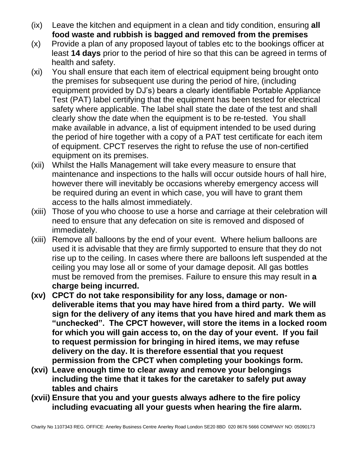- (ix) Leave the kitchen and equipment in a clean and tidy condition, ensuring **all food waste and rubbish is bagged and removed from the premises**
- (x) Provide a plan of any proposed layout of tables etc to the bookings officer at least **14 days** prior to the period of hire so that this can be agreed in terms of health and safety.
- (xi) You shall ensure that each item of electrical equipment being brought onto the premises for subsequent use during the period of hire, (including equipment provided by DJ's) bears a clearly identifiable Portable Appliance Test (PAT) label certifying that the equipment has been tested for electrical safety where applicable. The label shall state the date of the test and shall clearly show the date when the equipment is to be re-tested. You shall make available in advance, a list of equipment intended to be used during the period of hire together with a copy of a PAT test certificate for each item of equipment. CPCT reserves the right to refuse the use of non-certified equipment on its premises.
- (xii) Whilst the Halls Management will take every measure to ensure that maintenance and inspections to the halls will occur outside hours of hall hire, however there will inevitably be occasions whereby emergency access will be required during an event in which case, you will have to grant them access to the halls almost immediately.
- (xiii) Those of you who choose to use a horse and carriage at their celebration will need to ensure that any defecation on site is removed and disposed of immediately.
- (xiii) Remove all balloons by the end of your event. Where helium balloons are used it is advisable that they are firmly supported to ensure that they do not rise up to the ceiling. In cases where there are balloons left suspended at the ceiling you may lose all or some of your damage deposit. All gas bottles must be removed from the premises. Failure to ensure this may result in **a charge being incurred.**
- **(xv) CPCT do not take responsibility for any loss, damage or nondeliverable items that you may have hired from a third party. We will sign for the delivery of any items that you have hired and mark them as "unchecked". The CPCT however, will store the items in a locked room for which you will gain access to, on the day of your event. If you fail to request permission for bringing in hired items, we may refuse delivery on the day. It is therefore essential that you request permission from the CPCT when completing your bookings form.**
- **(xvi) Leave enough time to clear away and remove your belongings including the time that it takes for the caretaker to safely put away tables and chairs**
- **(xvii) Ensure that you and your guests always adhere to the fire policy including evacuating all your guests when hearing the fire alarm.**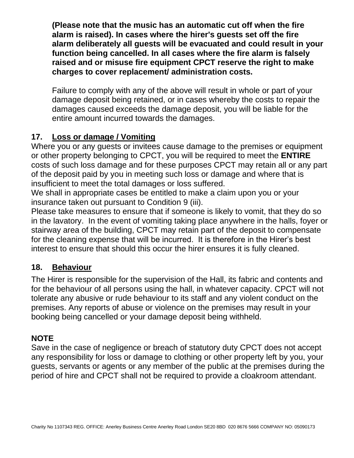**(Please note that the music has an automatic cut off when the fire alarm is raised). In cases where the hirer's guests set off the fire alarm deliberately all guests will be evacuated and could result in your function being cancelled. In all cases where the fire alarm is falsely raised and or misuse fire equipment CPCT reserve the right to make charges to cover replacement/ administration costs.**

Failure to comply with any of the above will result in whole or part of your damage deposit being retained, or in cases whereby the costs to repair the damages caused exceeds the damage deposit, you will be liable for the entire amount incurred towards the damages.

# **17. Loss or damage / Vomiting**

Where you or any guests or invitees cause damage to the premises or equipment or other property belonging to CPCT, you will be required to meet the **ENTIRE** costs of such loss damage and for these purposes CPCT may retain all or any part of the deposit paid by you in meeting such loss or damage and where that is insufficient to meet the total damages or loss suffered.

We shall in appropriate cases be entitled to make a claim upon you or your insurance taken out pursuant to Condition 9 (iii).

Please take measures to ensure that if someone is likely to vomit, that they do so in the lavatory. In the event of vomiting taking place anywhere in the halls, foyer or stairway area of the building, CPCT may retain part of the deposit to compensate for the cleaning expense that will be incurred. It is therefore in the Hirer's best interest to ensure that should this occur the hirer ensures it is fully cleaned.

# **18. Behaviour**

The Hirer is responsible for the supervision of the Hall, its fabric and contents and for the behaviour of all persons using the hall, in whatever capacity. CPCT will not tolerate any abusive or rude behaviour to its staff and any violent conduct on the premises. Any reports of abuse or violence on the premises may result in your booking being cancelled or your damage deposit being withheld.

# **NOTE**

Save in the case of negligence or breach of statutory duty CPCT does not accept any responsibility for loss or damage to clothing or other property left by you, your guests, servants or agents or any member of the public at the premises during the period of hire and CPCT shall not be required to provide a cloakroom attendant.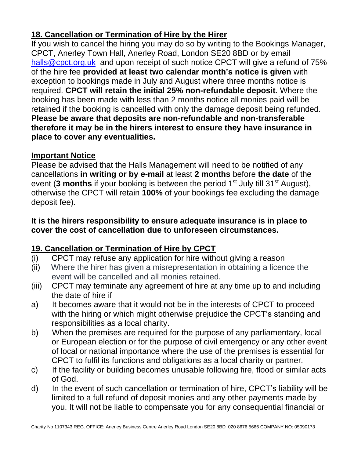# **18. Cancellation or Termination of Hire by the Hirer**

If you wish to cancel the hiring you may do so by writing to the Bookings Manager, CPCT, Anerley Town Hall, Anerley Road, London SE20 8BD or by email [halls@cpct.org.uk](mailto:halls@cpct.org.uk) and upon receipt of such notice CPCT will give a refund of 75% of the hire fee **provided at least two calendar month's notice is given** with exception to bookings made in July and August where three months notice is required. **CPCT will retain the initial 25% non-refundable deposit**. Where the booking has been made with less than 2 months notice all monies paid will be retained if the booking is cancelled with only the damage deposit being refunded. **Please be aware that deposits are non-refundable and non-transferable therefore it may be in the hirers interest to ensure they have insurance in place to cover any eventualities.**

# **Important Notice**

Please be advised that the Halls Management will need to be notified of any cancellations **in writing or by e-mail** at least **2 months** before **the date** of the event (3 months if your booking is between the period 1<sup>st</sup> July till 31<sup>st</sup> August), otherwise the CPCT will retain **100%** of your bookings fee excluding the damage deposit fee).

#### **It is the hirers responsibility to ensure adequate insurance is in place to cover the cost of cancellation due to unforeseen circumstances.**

# **19. Cancellation or Termination of Hire by CPCT**

- (i) CPCT may refuse any application for hire without giving a reason
- (ii) Where the hirer has given a misrepresentation in obtaining a licence the event will be cancelled and all monies retained.
- (iii) CPCT may terminate any agreement of hire at any time up to and including the date of hire if
- a) It becomes aware that it would not be in the interests of CPCT to proceed with the hiring or which might otherwise prejudice the CPCT's standing and responsibilities as a local charity.
- b) When the premises are required for the purpose of any parliamentary, local or European election or for the purpose of civil emergency or any other event of local or national importance where the use of the premises is essential for CPCT to fulfil its functions and obligations as a local charity or partner.
- c) If the facility or building becomes unusable following fire, flood or similar acts of God.
- d) In the event of such cancellation or termination of hire, CPCT's liability will be limited to a full refund of deposit monies and any other payments made by you. It will not be liable to compensate you for any consequential financial or